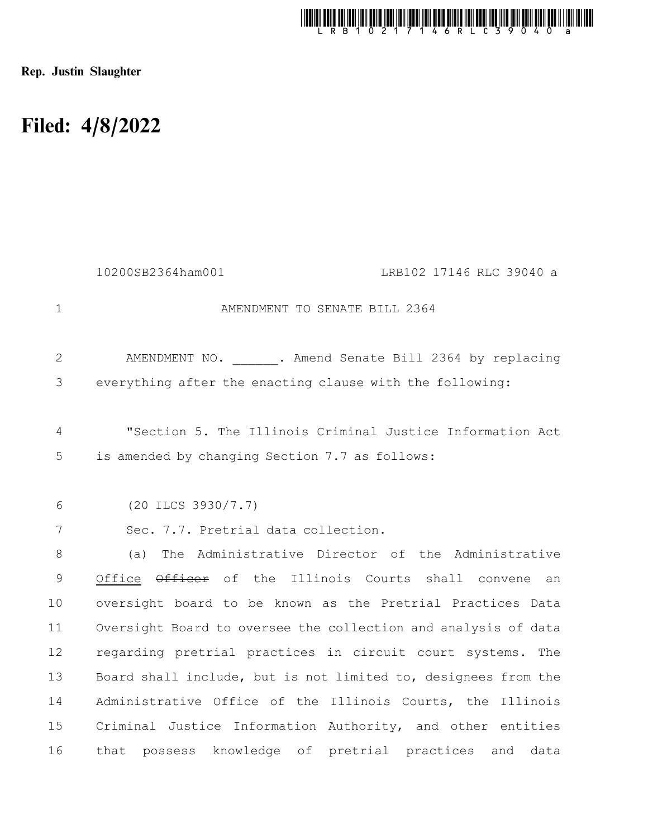

Rep. Justin Slaughter

## Filed: 4/8/2022

|                | 10200SB2364ham001<br>LRB102 17146 RLC 39040 a                     |
|----------------|-------------------------------------------------------------------|
| $\mathbf{1}$   | AMENDMENT TO SENATE BILL 2364                                     |
| $\overline{2}$ | AMENDMENT NO. . Amend Senate Bill 2364 by replacing               |
| 3              | everything after the enacting clause with the following:          |
| $\overline{4}$ | "Section 5. The Illinois Criminal Justice Information Act         |
| 5              | is amended by changing Section 7.7 as follows:                    |
| 6              | $(20$ ILCS 3930/7.7)                                              |
| 7              | Sec. 7.7. Pretrial data collection.                               |
| $8\,$          | The Administrative Director of the Administrative<br>(a)          |
| 9              | Office $\theta$ fficer of the Illinois Courts shall convene<br>an |
| 10             | oversight board to be known as the Pretrial Practices Data        |
| 11             | Oversight Board to oversee the collection and analysis of data    |
| 12             | regarding pretrial practices in circuit court systems. The        |
| 13             | Board shall include, but is not limited to, designees from the    |
| 14             | Administrative Office of the Illinois Courts, the Illinois        |
| 15             | Criminal Justice Information Authority, and other entities        |
| 16             | that possess knowledge of pretrial practices and<br>data          |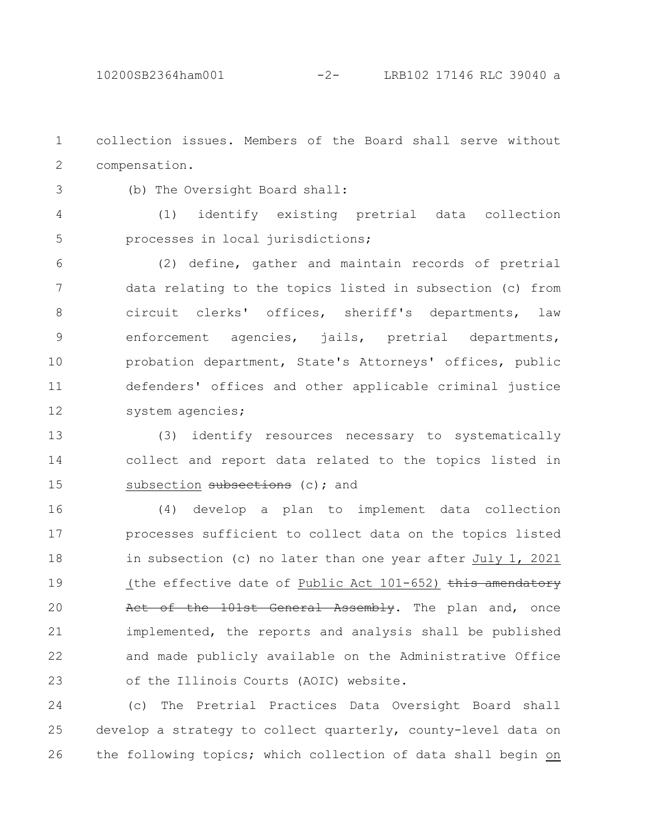collection issues. Members of the Board shall serve without compensation. 1 2

3

(b) The Oversight Board shall:

(1) identify existing pretrial data collection processes in local jurisdictions; 4 5

(2) define, gather and maintain records of pretrial data relating to the topics listed in subsection (c) from circuit clerks' offices, sheriff's departments, law enforcement agencies, jails, pretrial departments, probation department, State's Attorneys' offices, public defenders' offices and other applicable criminal justice system agencies; 6 7 8 9 10 11 12

(3) identify resources necessary to systematically collect and report data related to the topics listed in subsection subsections (c); and 13 14 15

(4) develop a plan to implement data collection processes sufficient to collect data on the topics listed in subsection (c) no later than one year after July 1, 2021 (the effective date of Public Act  $101-652$ ) this amendatory Act of the 101st General Assembly. The plan and, once implemented, the reports and analysis shall be published and made publicly available on the Administrative Office of the Illinois Courts (AOIC) website. 16 17 18 19 20 21 22 23

(c) The Pretrial Practices Data Oversight Board shall develop a strategy to collect quarterly, county-level data on the following topics; which collection of data shall begin on 24 25 26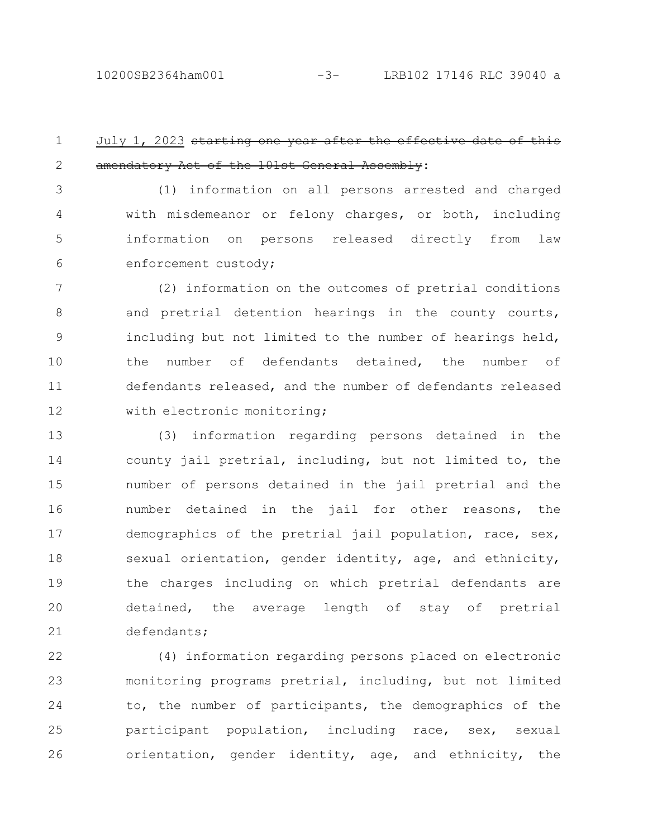## July 1, 2023 starting one year after the effect amendatory Act of the 101st General Assembly: 1 2

(1) information on all persons arrested and charged with misdemeanor or felony charges, or both, including information on persons released directly from law enforcement custody; 3 4 5 6

(2) information on the outcomes of pretrial conditions and pretrial detention hearings in the county courts, including but not limited to the number of hearings held, the number of defendants detained, the number of defendants released, and the number of defendants released with electronic monitoring; 7 8 9 10 11 12

(3) information regarding persons detained in the county jail pretrial, including, but not limited to, the number of persons detained in the jail pretrial and the number detained in the jail for other reasons, the demographics of the pretrial jail population, race, sex, sexual orientation, gender identity, age, and ethnicity, the charges including on which pretrial defendants are detained, the average length of stay of pretrial defendants; 13 14 15 16 17 18 19 20 21

(4) information regarding persons placed on electronic monitoring programs pretrial, including, but not limited to, the number of participants, the demographics of the participant population, including race, sex, sexual orientation, gender identity, age, and ethnicity, the 22 23 24 25 26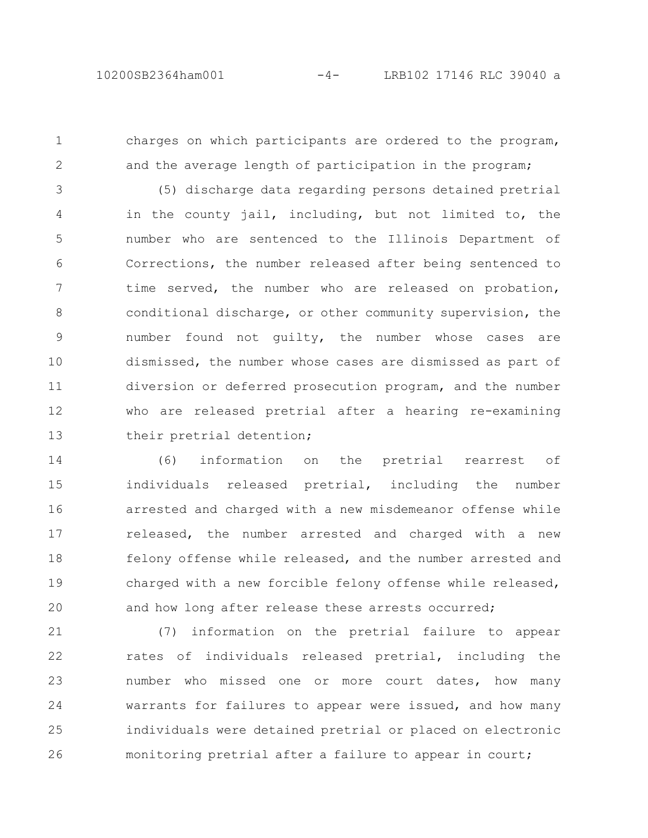1

2

charges on which participants are ordered to the program, and the average length of participation in the program;

(5) discharge data regarding persons detained pretrial in the county jail, including, but not limited to, the number who are sentenced to the Illinois Department of Corrections, the number released after being sentenced to time served, the number who are released on probation, conditional discharge, or other community supervision, the number found not guilty, the number whose cases are dismissed, the number whose cases are dismissed as part of diversion or deferred prosecution program, and the number who are released pretrial after a hearing re-examining their pretrial detention; 3 4 5 6 7 8 9 10 11 12 13

(6) information on the pretrial rearrest of individuals released pretrial, including the number arrested and charged with a new misdemeanor offense while released, the number arrested and charged with a new felony offense while released, and the number arrested and charged with a new forcible felony offense while released, and how long after release these arrests occurred; 14 15 16 17 18 19 20

(7) information on the pretrial failure to appear rates of individuals released pretrial, including the number who missed one or more court dates, how many warrants for failures to appear were issued, and how many individuals were detained pretrial or placed on electronic monitoring pretrial after a failure to appear in court; 21 22 23 24 25 26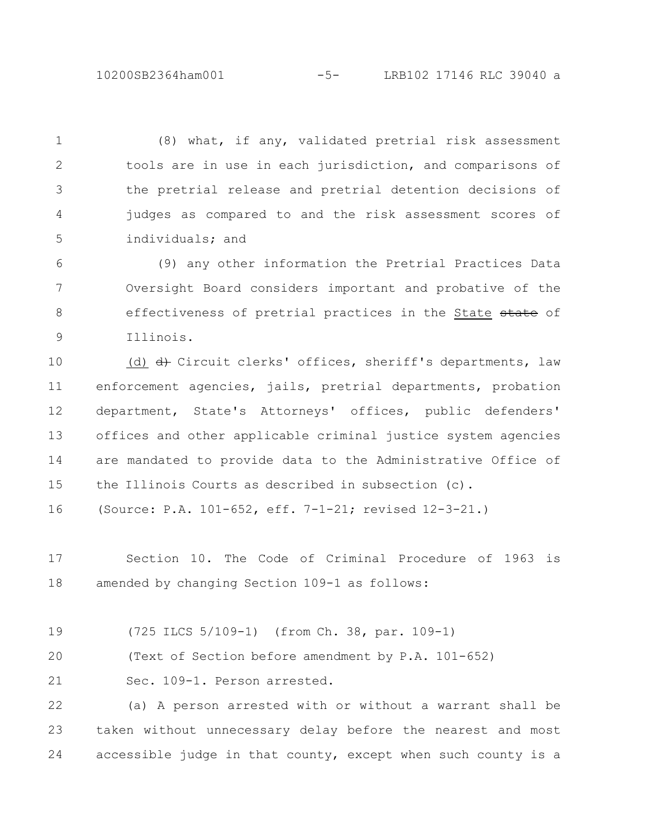10200SB2364ham001 -5- LRB102 17146 RLC 39040 a

(8) what, if any, validated pretrial risk assessment tools are in use in each jurisdiction, and comparisons of the pretrial release and pretrial detention decisions of judges as compared to and the risk assessment scores of individuals; and 1 2 3 4 5

(9) any other information the Pretrial Practices Data Oversight Board considers important and probative of the effectiveness of pretrial practices in the State state of Illinois. 6 7 8 9

(d) d) Circuit clerks' offices, sheriff's departments, law enforcement agencies, jails, pretrial departments, probation department, State's Attorneys' offices, public defenders' offices and other applicable criminal justice system agencies are mandated to provide data to the Administrative Office of the Illinois Courts as described in subsection (c). 10 11 12 13 14 15

(Source: P.A. 101-652, eff. 7-1-21; revised 12-3-21.) 16

Section 10. The Code of Criminal Procedure of 1963 is amended by changing Section 109-1 as follows: 17 18

(725 ILCS 5/109-1) (from Ch. 38, par. 109-1) 19

(Text of Section before amendment by P.A. 101-652) 20

Sec. 109-1. Person arrested. 21

(a) A person arrested with or without a warrant shall be taken without unnecessary delay before the nearest and most accessible judge in that county, except when such county is a 22 23 24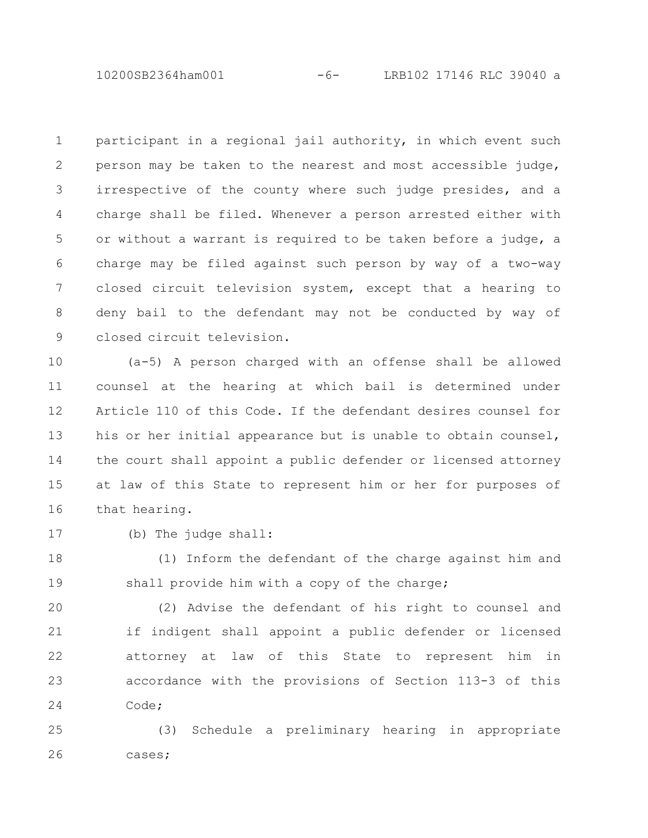10200SB2364ham001 -6- LRB102 17146 RLC 39040 a

participant in a regional jail authority, in which event such person may be taken to the nearest and most accessible judge, irrespective of the county where such judge presides, and a charge shall be filed. Whenever a person arrested either with or without a warrant is required to be taken before a judge, a charge may be filed against such person by way of a two-way closed circuit television system, except that a hearing to deny bail to the defendant may not be conducted by way of closed circuit television. 1 2 3 4 5 6 7 8 9

(a-5) A person charged with an offense shall be allowed counsel at the hearing at which bail is determined under Article 110 of this Code. If the defendant desires counsel for his or her initial appearance but is unable to obtain counsel, the court shall appoint a public defender or licensed attorney at law of this State to represent him or her for purposes of that hearing. 10 11 12 13 14 15 16

17

(b) The judge shall:

(1) Inform the defendant of the charge against him and shall provide him with a copy of the charge; 18 19

(2) Advise the defendant of his right to counsel and if indigent shall appoint a public defender or licensed attorney at law of this State to represent him in accordance with the provisions of Section 113-3 of this Code; 20 21 22 23 24

(3) Schedule a preliminary hearing in appropriate cases; 25 26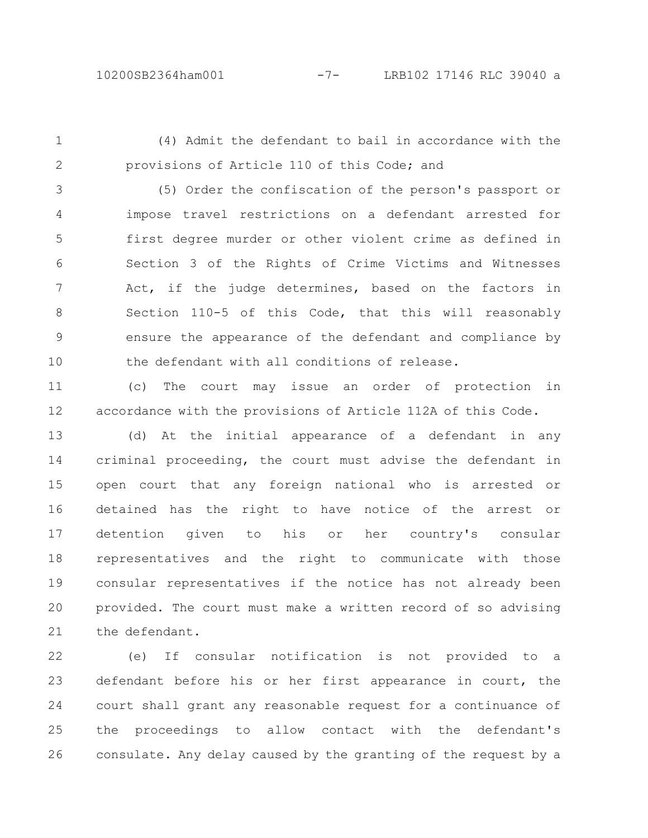1

2

(4) Admit the defendant to bail in accordance with the provisions of Article 110 of this Code; and

(5) Order the confiscation of the person's passport or impose travel restrictions on a defendant arrested for first degree murder or other violent crime as defined in Section 3 of the Rights of Crime Victims and Witnesses Act, if the judge determines, based on the factors in Section 110-5 of this Code, that this will reasonably ensure the appearance of the defendant and compliance by the defendant with all conditions of release. 3 4 5 6 7 8 9 10

(c) The court may issue an order of protection in accordance with the provisions of Article 112A of this Code. 11 12

(d) At the initial appearance of a defendant in any criminal proceeding, the court must advise the defendant in open court that any foreign national who is arrested or detained has the right to have notice of the arrest or detention given to his or her country's consular representatives and the right to communicate with those consular representatives if the notice has not already been provided. The court must make a written record of so advising the defendant. 13 14 15 16 17 18 19 20 21

(e) If consular notification is not provided to a defendant before his or her first appearance in court, the court shall grant any reasonable request for a continuance of the proceedings to allow contact with the defendant's consulate. Any delay caused by the granting of the request by a 22 23 24 25 26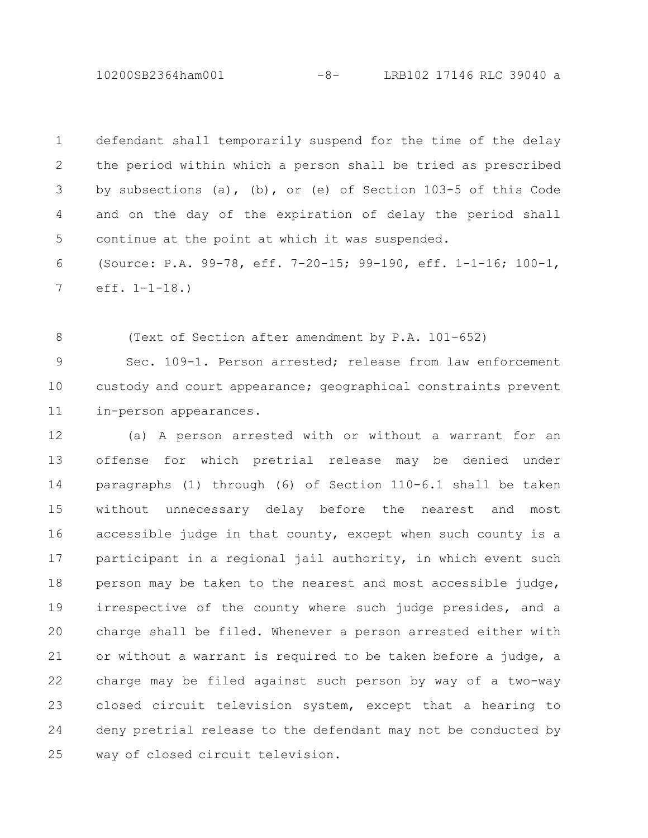10200SB2364ham001 -8- LRB102 17146 RLC 39040 a

defendant shall temporarily suspend for the time of the delay the period within which a person shall be tried as prescribed by subsections (a), (b), or (e) of Section 103-5 of this Code and on the day of the expiration of delay the period shall continue at the point at which it was suspended. (Source: P.A. 99-78, eff. 7-20-15; 99-190, eff. 1-1-16; 100-1, 1 2 3 4 5 6

eff. 1-1-18.) 7

(Text of Section after amendment by P.A. 101-652) 8

Sec. 109-1. Person arrested; release from law enforcement custody and court appearance; geographical constraints prevent in-person appearances. 9 10 11

(a) A person arrested with or without a warrant for an offense for which pretrial release may be denied under paragraphs (1) through (6) of Section 110-6.1 shall be taken without unnecessary delay before the nearest and most accessible judge in that county, except when such county is a participant in a regional jail authority, in which event such person may be taken to the nearest and most accessible judge, irrespective of the county where such judge presides, and a charge shall be filed. Whenever a person arrested either with or without a warrant is required to be taken before a judge, a charge may be filed against such person by way of a two-way closed circuit television system, except that a hearing to deny pretrial release to the defendant may not be conducted by way of closed circuit television. 12 13 14 15 16 17 18 19 20 21 22 23 24 25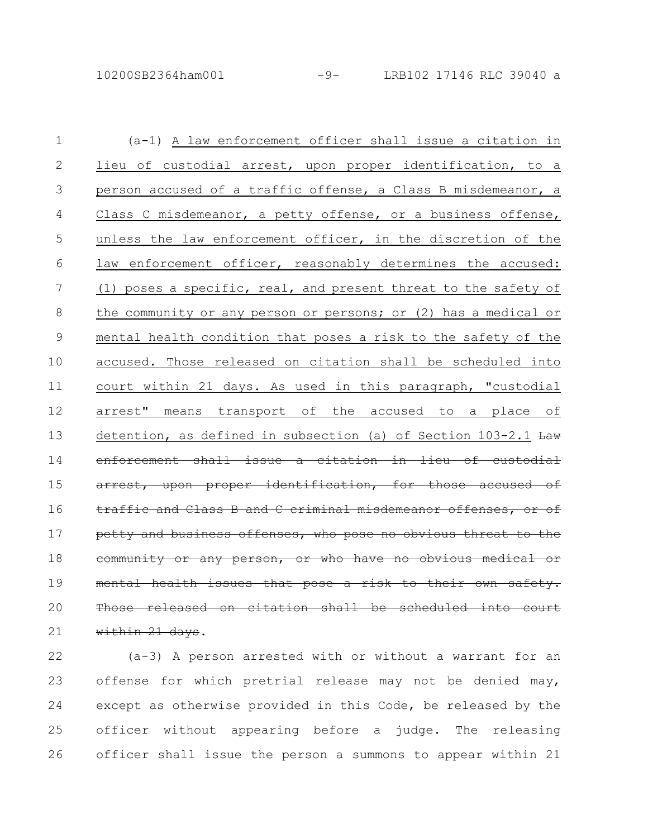(a-1) A law enforcement officer shall issue a citation in lieu of custodial arrest, upon proper identification, to a person accused of a traffic offense, a Class B misdemeanor, a Class C misdemeanor, a petty offense, or a business offense, unless the law enforcement officer, in the discretion of the law enforcement officer, reasonably determines the accused: (1) poses a specific, real, and present threat to the safety of the community or any person or persons; or (2) has a medical or mental health condition that poses a risk to the safety of the accused. Those released on citation shall be scheduled into court within 21 days. As used in this paragraph, "custodial arrest" means transport of the accused to a place of detention, as defined in subsection (a) of Section  $103-2.1$   $\frac{Law}{Law}$ enforcement shall issue a citation in lieu of upon proper identification, for those traffic and Class B and C criminal misdemeanor offenses. petty and business offenses, who pose no obvious threat or any person, or who have no obvious medical mental health issues that pose a risk to released on citation shall be within 21 days. 1 2 3 4 5 6 7 8 9 10 11 12 13 14 15 16 17 18 19 20 21

(a-3) A person arrested with or without a warrant for an offense for which pretrial release may not be denied may, except as otherwise provided in this Code, be released by the officer without appearing before a judge. The releasing officer shall issue the person a summons to appear within 21 22 23 24 25 26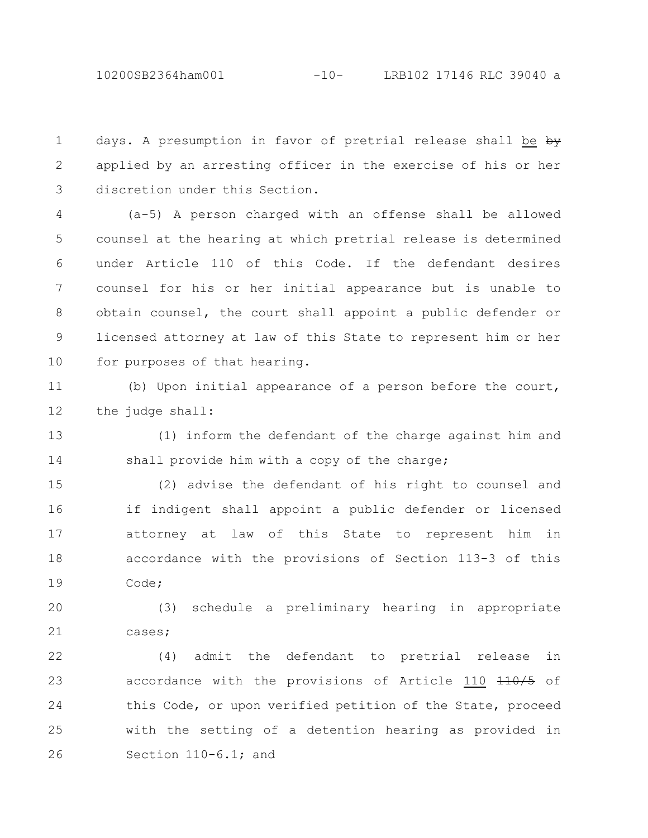days. A presumption in favor of pretrial release shall be by applied by an arresting officer in the exercise of his or her discretion under this Section. 1 2 3

(a-5) A person charged with an offense shall be allowed counsel at the hearing at which pretrial release is determined under Article 110 of this Code. If the defendant desires counsel for his or her initial appearance but is unable to obtain counsel, the court shall appoint a public defender or licensed attorney at law of this State to represent him or her for purposes of that hearing. 4 5 6 7 8 9 10

(b) Upon initial appearance of a person before the court, the judge shall: 11 12

(1) inform the defendant of the charge against him and shall provide him with a copy of the charge; 13 14

(2) advise the defendant of his right to counsel and if indigent shall appoint a public defender or licensed attorney at law of this State to represent him in accordance with the provisions of Section 113-3 of this Code; 15 16 17 18 19

(3) schedule a preliminary hearing in appropriate cases; 20 21

(4) admit the defendant to pretrial release in accordance with the provisions of Article 110 410/5 of this Code, or upon verified petition of the State, proceed with the setting of a detention hearing as provided in Section 110-6.1; and 22 23 24 25 26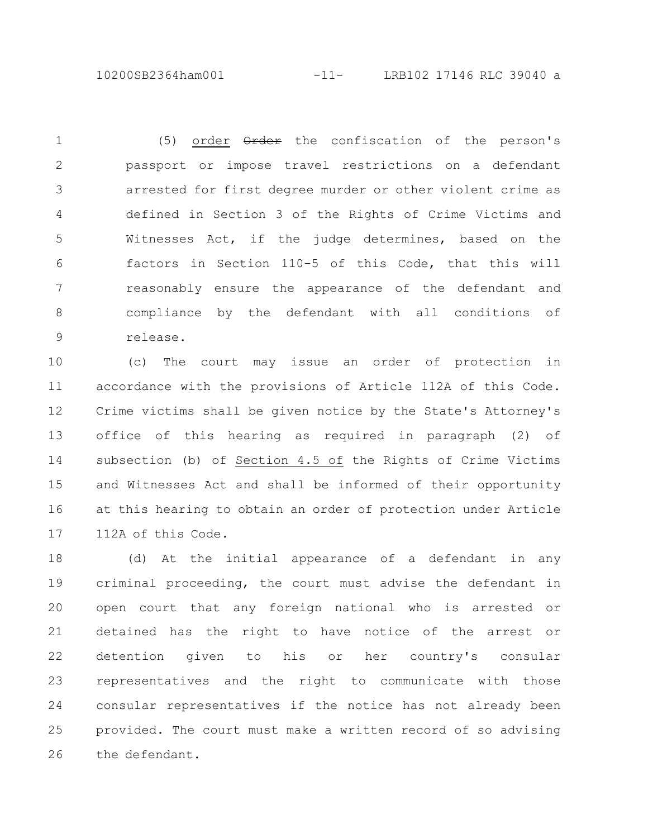10200SB2364ham001 -11- LRB102 17146 RLC 39040 a

(5) order  $\theta$ rder the confiscation of the person's passport or impose travel restrictions on a defendant arrested for first degree murder or other violent crime as defined in Section 3 of the Rights of Crime Victims and Witnesses Act, if the judge determines, based on the factors in Section 110-5 of this Code, that this will reasonably ensure the appearance of the defendant and compliance by the defendant with all conditions of release. 1 2 3 4 5 6 7 8 9

(c) The court may issue an order of protection in accordance with the provisions of Article 112A of this Code. Crime victims shall be given notice by the State's Attorney's office of this hearing as required in paragraph (2) of subsection (b) of Section 4.5 of the Rights of Crime Victims and Witnesses Act and shall be informed of their opportunity at this hearing to obtain an order of protection under Article 112A of this Code. 10 11 12 13 14 15 16 17

(d) At the initial appearance of a defendant in any criminal proceeding, the court must advise the defendant in open court that any foreign national who is arrested or detained has the right to have notice of the arrest or detention given to his or her country's consular representatives and the right to communicate with those consular representatives if the notice has not already been provided. The court must make a written record of so advising the defendant. 18 19 20 21 22 23 24 25 26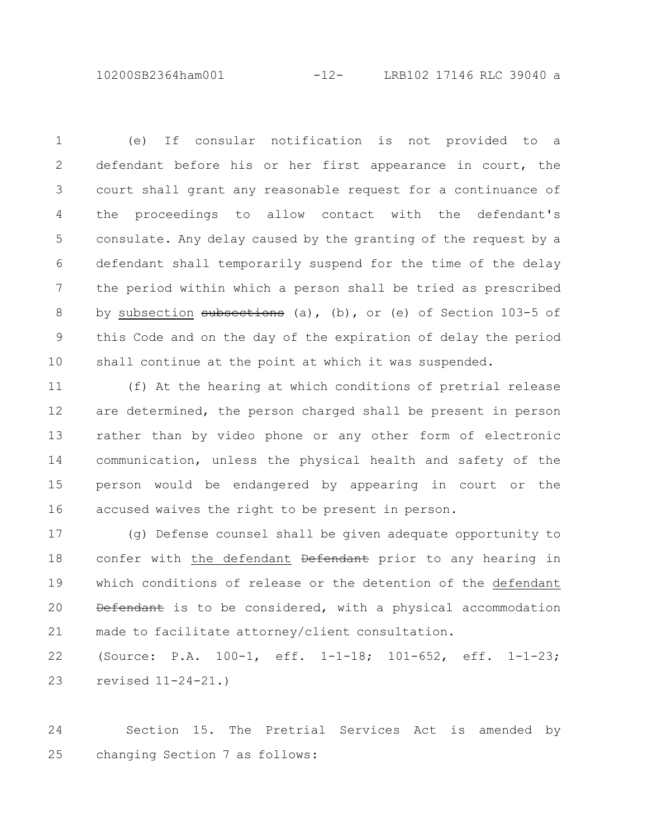10200SB2364ham001 -12- LRB102 17146 RLC 39040 a

(e) If consular notification is not provided to a defendant before his or her first appearance in court, the court shall grant any reasonable request for a continuance of the proceedings to allow contact with the defendant's consulate. Any delay caused by the granting of the request by a defendant shall temporarily suspend for the time of the delay the period within which a person shall be tried as prescribed by subsection subsections (a), (b), or (e) of Section 103-5 of this Code and on the day of the expiration of delay the period shall continue at the point at which it was suspended. 1 2 3 4 5 6 7 8 9 10

(f) At the hearing at which conditions of pretrial release are determined, the person charged shall be present in person rather than by video phone or any other form of electronic communication, unless the physical health and safety of the person would be endangered by appearing in court or the accused waives the right to be present in person. 11 12 13 14 15 16

(g) Defense counsel shall be given adequate opportunity to confer with the defendant <del>Defendant</del> prior to any hearing in which conditions of release or the detention of the defendant Defendant is to be considered, with a physical accommodation made to facilitate attorney/client consultation. 17 18 19 20 21

(Source: P.A. 100-1, eff. 1-1-18; 101-652, eff. 1-1-23; revised 11-24-21.) 22 23

Section 15. The Pretrial Services Act is amended by changing Section 7 as follows: 24 25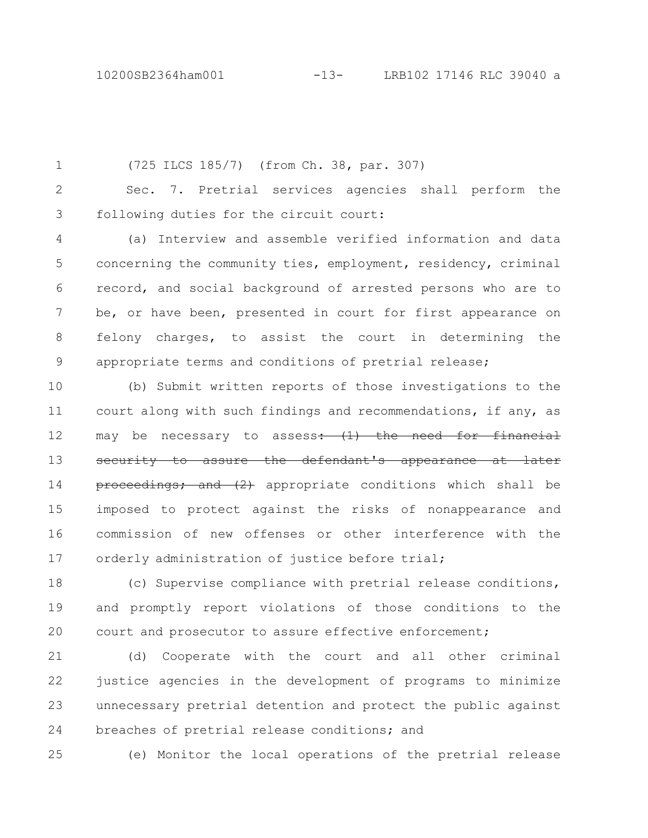(725 ILCS 185/7) (from Ch. 38, par. 307) Sec. 7. Pretrial services agencies shall perform the following duties for the circuit court: (a) Interview and assemble verified information and data concerning the community ties, employment, residency, criminal record, and social background of arrested persons who are to be, or have been, presented in court for first appearance on felony charges, to assist the court in determining the appropriate terms and conditions of pretrial release; (b) Submit written reports of those investigations to the 1 2 3 4 5 6 7 8 9 10

court along with such findings and recommendations, if any, as may be necessary to assess: (1) the need for financial security to assure the defendant's appearance at later proceedings; and  $(2)$  appropriate conditions which shall be imposed to protect against the risks of nonappearance and commission of new offenses or other interference with the orderly administration of justice before trial; 11 12 13 14 15 16 17

(c) Supervise compliance with pretrial release conditions, and promptly report violations of those conditions to the court and prosecutor to assure effective enforcement; 18 19  $20$ 

(d) Cooperate with the court and all other criminal justice agencies in the development of programs to minimize unnecessary pretrial detention and protect the public against breaches of pretrial release conditions; and 21 22 23 24

25

(e) Monitor the local operations of the pretrial release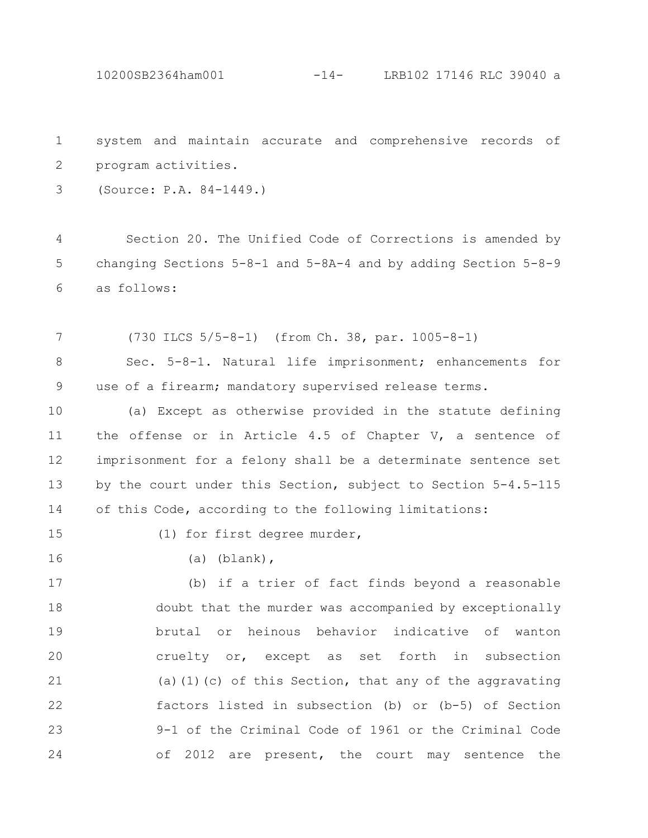10200SB2364ham001 -14- LRB102 17146 RLC 39040 a

system and maintain accurate and comprehensive records of program activities. 1 2

(Source: P.A. 84-1449.) 3

Section 20. The Unified Code of Corrections is amended by changing Sections 5-8-1 and 5-8A-4 and by adding Section 5-8-9 as follows: 4 5 6

(730 ILCS 5/5-8-1) (from Ch. 38, par. 1005-8-1) 7

Sec. 5-8-1. Natural life imprisonment; enhancements for use of a firearm; mandatory supervised release terms. 8 9

(a) Except as otherwise provided in the statute defining the offense or in Article 4.5 of Chapter V, a sentence of imprisonment for a felony shall be a determinate sentence set by the court under this Section, subject to Section 5-4.5-115 of this Code, according to the following limitations: 10 11 12 13 14

15

(1) for first degree murder,

16

(a) (blank),

(b) if a trier of fact finds beyond a reasonable doubt that the murder was accompanied by exceptionally brutal or heinous behavior indicative of wanton cruelty or, except as set forth in subsection (a)(1)(c) of this Section, that any of the aggravating factors listed in subsection (b) or (b-5) of Section 9-1 of the Criminal Code of 1961 or the Criminal Code of 2012 are present, the court may sentence the 17 18 19 20 21 22 23 24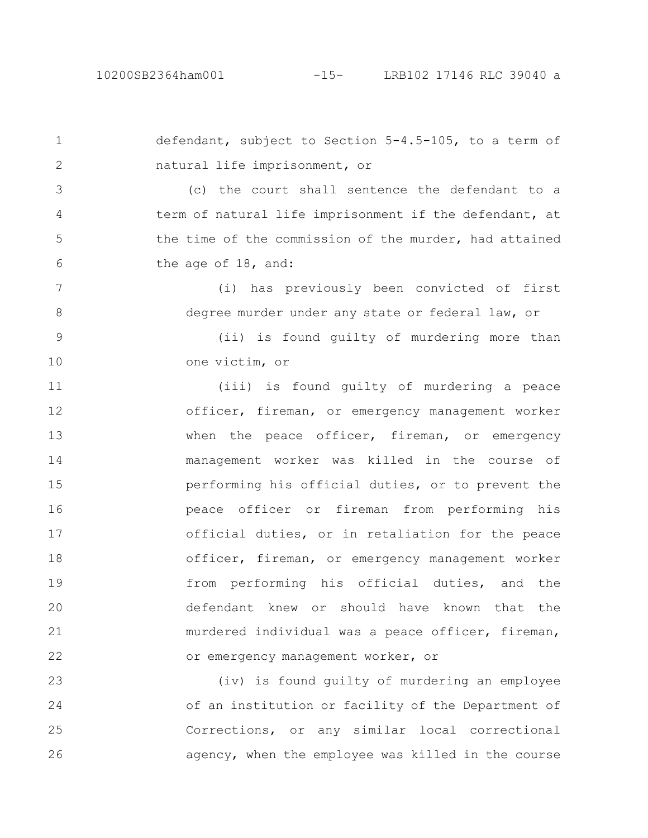## 10200SB2364ham001 -15- LRB102 17146 RLC 39040 a

defendant, subject to Section 5-4.5-105, to a term of natural life imprisonment, or (c) the court shall sentence the defendant to a term of natural life imprisonment if the defendant, at the time of the commission of the murder, had attained the age of 18, and: (i) has previously been convicted of first degree murder under any state or federal law, or (ii) is found guilty of murdering more than one victim, or (iii) is found guilty of murdering a peace officer, fireman, or emergency management worker when the peace officer, fireman, or emergency management worker was killed in the course of performing his official duties, or to prevent the peace officer or fireman from performing his official duties, or in retaliation for the peace officer, fireman, or emergency management worker from performing his official duties, and the defendant knew or should have known that the murdered individual was a peace officer, fireman, or emergency management worker, or (iv) is found guilty of murdering an employee 1 2 3 4 5 6 7 8 9 10 11 12 13 14 15 16 17 18 19 20 21 22 23

of an institution or facility of the Department of Corrections, or any similar local correctional agency, when the employee was killed in the course 24 25 26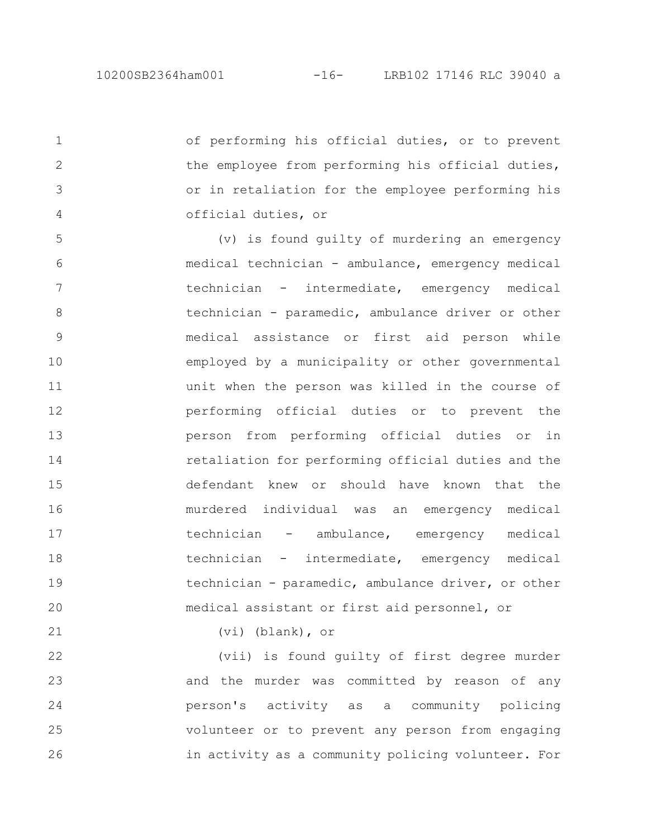of performing his official duties, or to prevent the employee from performing his official duties, or in retaliation for the employee performing his official duties, or (v) is found guilty of murdering an emergency medical technician - ambulance, emergency medical technician - intermediate, emergency medical technician - paramedic, ambulance driver or other medical assistance or first aid person while employed by a municipality or other governmental unit when the person was killed in the course of performing official duties or to prevent the person from performing official duties or in retaliation for performing official duties and the defendant knew or should have known that the murdered individual was an emergency medical technician - ambulance, emergency medical technician - intermediate, emergency medical technician - paramedic, ambulance driver, or other medical assistant or first aid personnel, or 1 2 3 4 5 6 7 8 9 10 11 12 13 14 15 16 17 18 19 20

21

(vi) (blank), or

(vii) is found guilty of first degree murder and the murder was committed by reason of any person's activity as a community policing volunteer or to prevent any person from engaging in activity as a community policing volunteer. For 22 23 24 25 26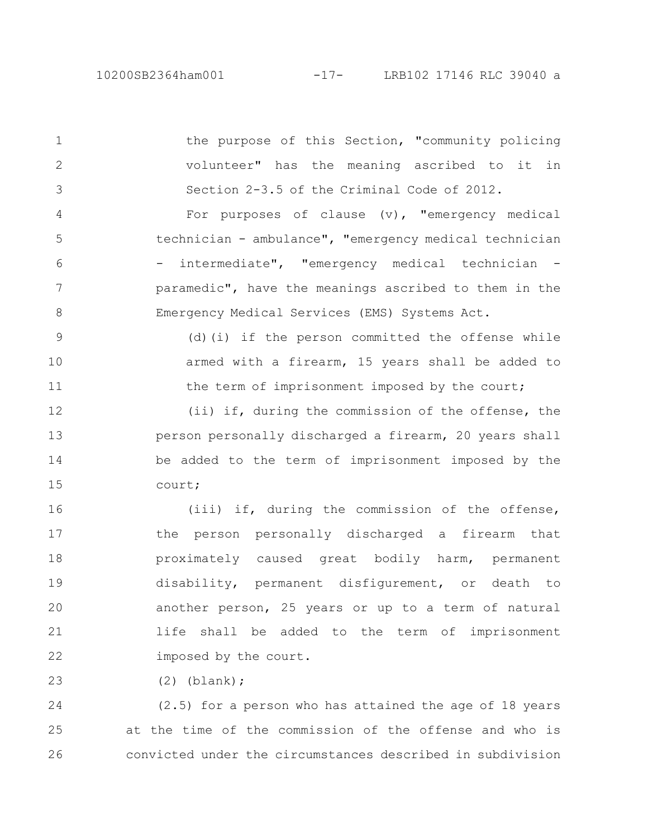the purpose of this Section, "community policing volunteer" has the meaning ascribed to it in Section 2-3.5 of the Criminal Code of 2012. For purposes of clause  $(v)$ , "emergency medical technician - ambulance", "emergency medical technician - intermediate", "emergency medical technician paramedic", have the meanings ascribed to them in the Emergency Medical Services (EMS) Systems Act. (d)(i) if the person committed the offense while armed with a firearm, 15 years shall be added to the term of imprisonment imposed by the court; (ii) if, during the commission of the offense, the person personally discharged a firearm, 20 years shall be added to the term of imprisonment imposed by the court; (iii) if, during the commission of the offense, the person personally discharged a firearm that proximately caused great bodily harm, permanent disability, permanent disfigurement, or death to another person, 25 years or up to a term of natural life shall be added to the term of imprisonment imposed by the court. 1 2 3 4 5 6 7 8 9 10 11 12 13 14 15 16 17 18 19 20 21 22

(2) (blank);

23

(2.5) for a person who has attained the age of 18 years at the time of the commission of the offense and who is convicted under the circumstances described in subdivision 24 25 26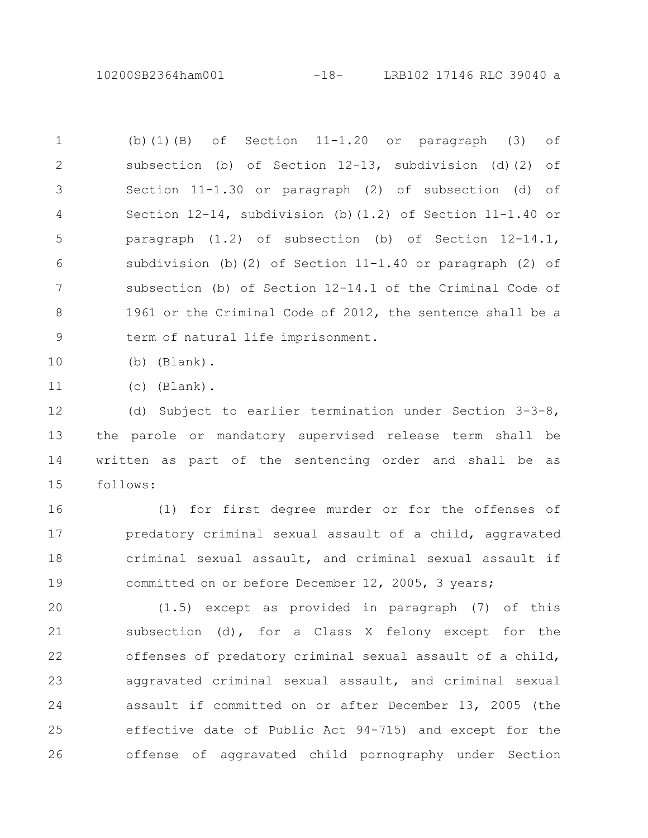10200SB2364ham001 -18- LRB102 17146 RLC 39040 a

(b)(1)(B) of Section  $11-1.20$  or paragraph (3) of subsection (b) of Section 12-13, subdivision (d)(2) of Section 11-1.30 or paragraph (2) of subsection (d) of Section 12-14, subdivision (b)(1.2) of Section 11-1.40 or paragraph (1.2) of subsection (b) of Section 12-14.1, subdivision (b)(2) of Section  $11-1.40$  or paragraph (2) of subsection (b) of Section 12-14.1 of the Criminal Code of 1961 or the Criminal Code of 2012, the sentence shall be a term of natural life imprisonment. 1 2 3 4 5 6 7 8 9

(b) (Blank). 10

(c) (Blank). 11

(d) Subject to earlier termination under Section 3-3-8, the parole or mandatory supervised release term shall be written as part of the sentencing order and shall be as follows: 12 13 14 15

(1) for first degree murder or for the offenses of predatory criminal sexual assault of a child, aggravated criminal sexual assault, and criminal sexual assault if committed on or before December 12, 2005, 3 years; 16 17 18 19

(1.5) except as provided in paragraph (7) of this subsection (d), for a Class X felony except for the offenses of predatory criminal sexual assault of a child, aggravated criminal sexual assault, and criminal sexual assault if committed on or after December 13, 2005 (the effective date of Public Act 94-715) and except for the offense of aggravated child pornography under Section 20 21 22 23 24 25 26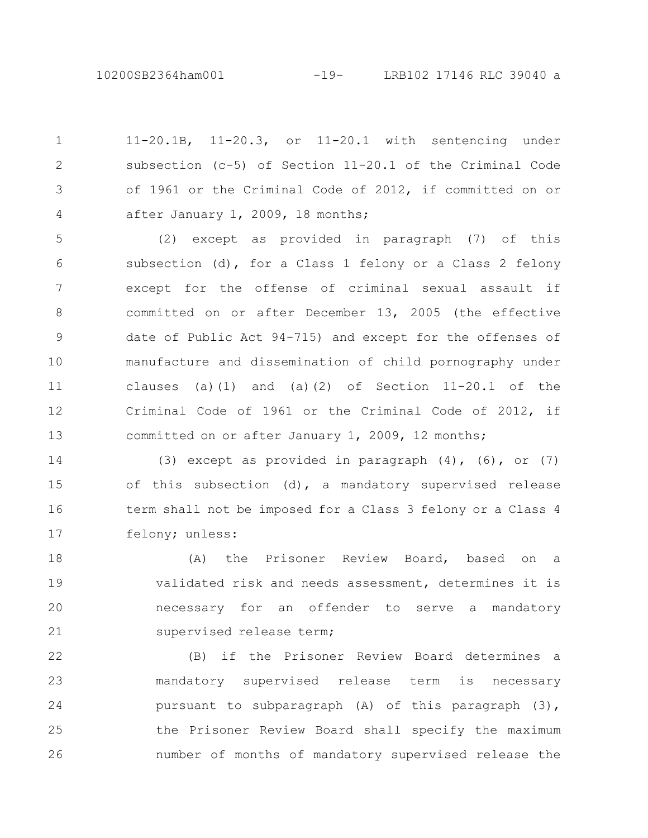11-20.1B, 11-20.3, or 11-20.1 with sentencing under subsection (c-5) of Section 11-20.1 of the Criminal Code of 1961 or the Criminal Code of 2012, if committed on or after January 1, 2009, 18 months; 1 2 3 4

(2) except as provided in paragraph (7) of this subsection (d), for a Class 1 felony or a Class 2 felony except for the offense of criminal sexual assault if committed on or after December 13, 2005 (the effective date of Public Act 94-715) and except for the offenses of manufacture and dissemination of child pornography under clauses (a)(1) and (a)(2) of Section  $11-20.1$  of the Criminal Code of 1961 or the Criminal Code of 2012, if committed on or after January 1, 2009, 12 months; 5 6 7 8 9 10 11 12 13

(3) except as provided in paragraph  $(4)$ ,  $(6)$ , or  $(7)$ of this subsection (d), a mandatory supervised release term shall not be imposed for a Class 3 felony or a Class 4 felony; unless: 14 15 16 17

(A) the Prisoner Review Board, based on a validated risk and needs assessment, determines it is necessary for an offender to serve a mandatory supervised release term; 18 19 20 21

(B) if the Prisoner Review Board determines a mandatory supervised release term is necessary pursuant to subparagraph (A) of this paragraph (3), the Prisoner Review Board shall specify the maximum number of months of mandatory supervised release the 22 23 24 25 26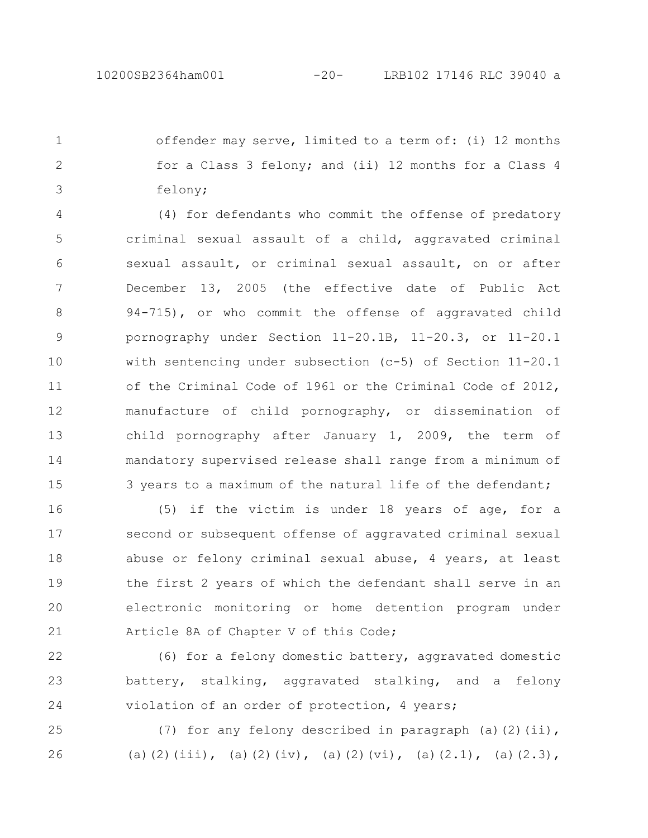offender may serve, limited to a term of: (i) 12 months for a Class 3 felony; and (ii) 12 months for a Class 4 felony; 1 2 3

(4) for defendants who commit the offense of predatory criminal sexual assault of a child, aggravated criminal sexual assault, or criminal sexual assault, on or after December 13, 2005 (the effective date of Public Act 94-715), or who commit the offense of aggravated child pornography under Section 11-20.1B, 11-20.3, or 11-20.1 with sentencing under subsection (c-5) of Section 11-20.1 of the Criminal Code of 1961 or the Criminal Code of 2012, manufacture of child pornography, or dissemination of child pornography after January 1, 2009, the term of mandatory supervised release shall range from a minimum of 3 years to a maximum of the natural life of the defendant; 4 5 6 7 8 9 10 11 12 13 14 15

(5) if the victim is under 18 years of age, for a second or subsequent offense of aggravated criminal sexual abuse or felony criminal sexual abuse, 4 years, at least the first 2 years of which the defendant shall serve in an electronic monitoring or home detention program under Article 8A of Chapter V of this Code; 16 17 18 19 20 21

(6) for a felony domestic battery, aggravated domestic battery, stalking, aggravated stalking, and a felony violation of an order of protection, 4 years; 22 23 24

(7) for any felony described in paragraph (a)(2)(ii), (a)(2)(iii), (a)(2)(iv), (a)(2)(vi), (a)(2.1), (a)(2.3), 25 26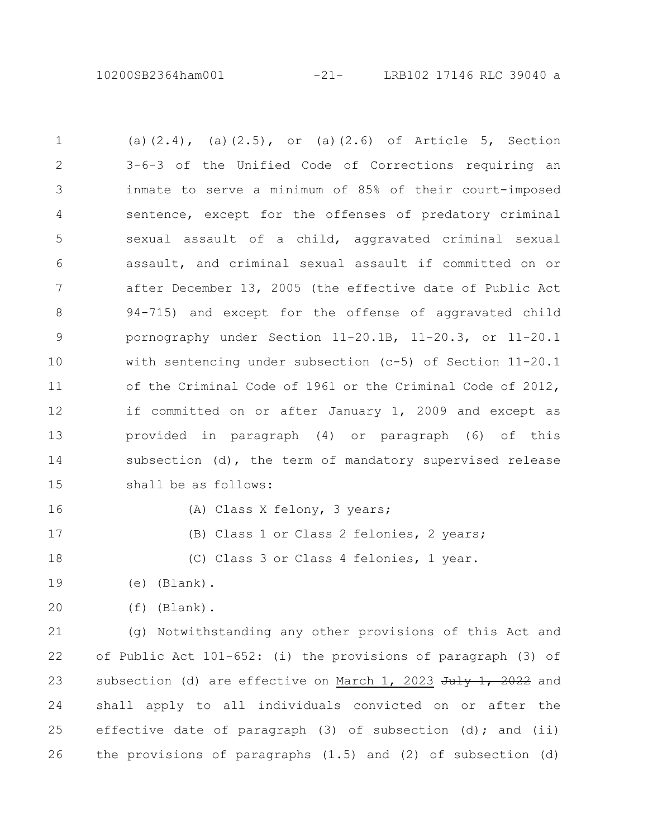10200SB2364ham001 -21- LRB102 17146 RLC 39040 a

(a) $(2.4)$ , (a) $(2.5)$ , or (a) $(2.6)$  of Article 5, Section 3-6-3 of the Unified Code of Corrections requiring an inmate to serve a minimum of 85% of their court-imposed sentence, except for the offenses of predatory criminal sexual assault of a child, aggravated criminal sexual assault, and criminal sexual assault if committed on or after December 13, 2005 (the effective date of Public Act 94-715) and except for the offense of aggravated child pornography under Section 11-20.1B, 11-20.3, or 11-20.1 with sentencing under subsection (c-5) of Section 11-20.1 of the Criminal Code of 1961 or the Criminal Code of 2012, if committed on or after January 1, 2009 and except as provided in paragraph (4) or paragraph (6) of this subsection (d), the term of mandatory supervised release shall be as follows: 1 2 3 4 5 6 7 8 9 10 11 12 13 14 15

16 17 (A) Class X felony, 3 years;

(B) Class 1 or Class 2 felonies, 2 years;

(C) Class 3 or Class 4 felonies, 1 year. 18

- (e) (Blank). 19
- (f) (Blank). 20

(g) Notwithstanding any other provisions of this Act and of Public Act 101-652: (i) the provisions of paragraph (3) of subsection (d) are effective on March 1, 2023  $July$  1, 2022 and shall apply to all individuals convicted on or after the effective date of paragraph  $(3)$  of subsection  $(d)$ ; and  $(ii)$ the provisions of paragraphs (1.5) and (2) of subsection (d) 21 22 23 24 25 26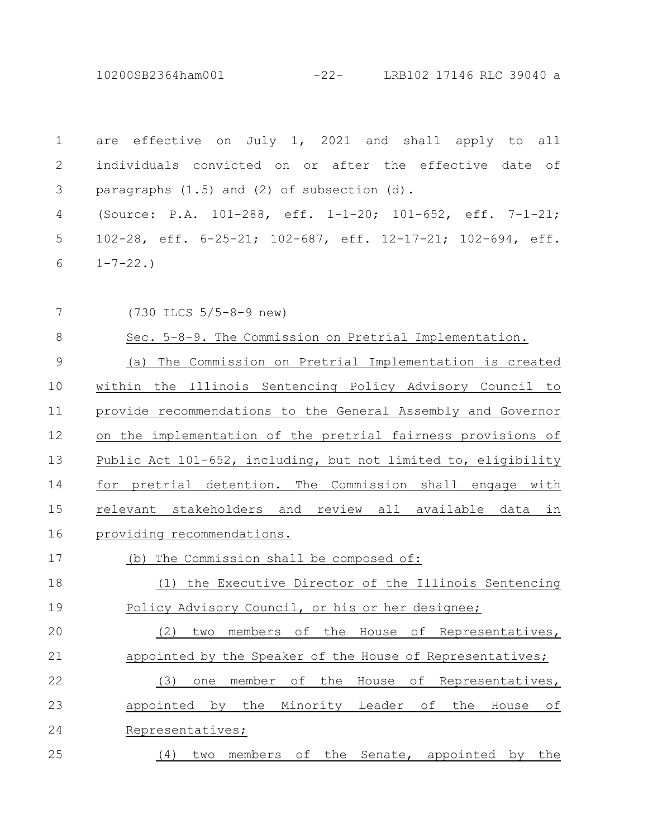10200SB2364ham001 -22- LRB102 17146 RLC 39040 a

are effective on July 1, 2021 and shall apply to all individuals convicted on or after the effective date of paragraphs (1.5) and (2) of subsection (d). 1 2 3

(Source: P.A. 101-288, eff. 1-1-20; 101-652, eff. 7-1-21; 102-28, eff. 6-25-21; 102-687, eff. 12-17-21; 102-694, eff.  $1 - 7 - 22.$ 4 5 6

(730 ILCS 5/5-8-9 new) 7

Sec. 5-8-9. The Commission on Pretrial Implementation. (a) The Commission on Pretrial Implementation is created within the Illinois Sentencing Policy Advisory Council to provide recommendations to the General Assembly and Governor on the implementation of the pretrial fairness provisions of Public Act 101-652, including, but not limited to, eligibility for pretrial detention. The Commission shall engage with relevant stakeholders and review all available data in providing recommendations. 8 9 10 11 12 13 14 15 16

(b) The Commission shall be composed of: 17

(1) the Executive Director of the Illinois Sentencing Policy Advisory Council, or his or her designee; 18 19

(2) two members of the House of Representatives, appointed by the Speaker of the House of Representatives; (3) one member of the House of Representatives, 20 21 22

appointed by the Minority Leader of the House of Representatives; 23 24

(4) two members of the Senate, appointed by the 25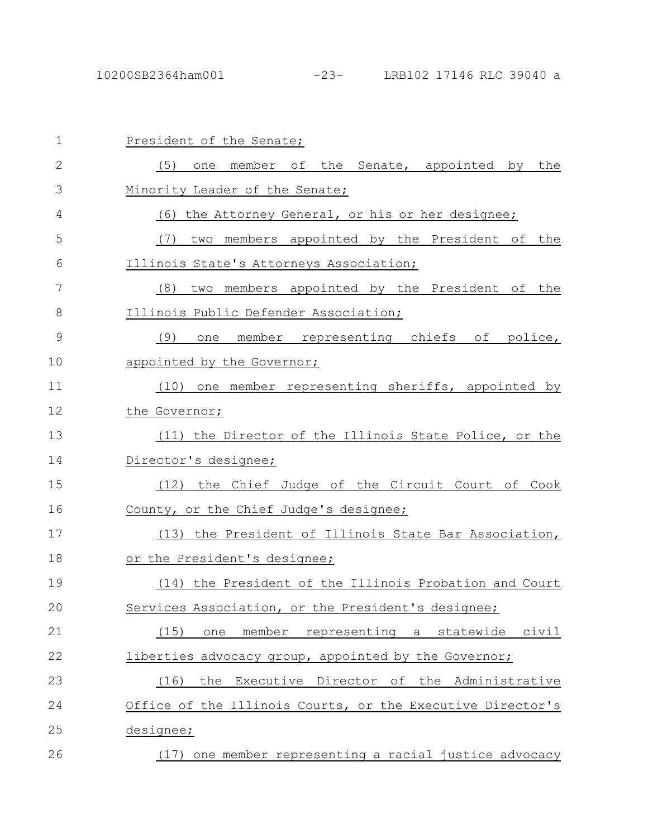| $\mathbf{1}$ | President of the Senate;                                      |
|--------------|---------------------------------------------------------------|
| $\mathbf{2}$ | (5)<br>one member of the Senate, appointed by the             |
| 3            | Minority Leader of the Senate;                                |
| 4            | (6) the Attorney General, or his or her designee;             |
| 5            | (7) two members appointed by the President of the             |
| 6            | Illinois State's Attorneys Association;                       |
| 7            | two members appointed by the President of the<br>(8)          |
| 8            | Illinois Public Defender Association;                         |
| $\mathsf 9$  | one member representing chiefs of police,<br>(9)              |
| 10           | appointed by the Governor;                                    |
| 11           | (10) one member representing sheriffs, appointed by           |
| 12           | the Governor;                                                 |
| 13           | (11) the Director of the Illinois State Police, or the        |
| 14           | Director's designee;                                          |
| 15           | (12) the Chief Judge of the Circuit Court of Cook             |
| 16           | County, or the Chief Judge's designee;                        |
| 17           | (13) the President of Illinois State Bar Association,         |
| 18           | or the President's designee;                                  |
| 19           | (14) the President of the Illinois Probation and Court        |
| 20           | Services Association, or the President's designee;            |
| 21           | (15)<br>member<br>representing a<br>statewide<br>civil<br>one |
| 22           | liberties advocacy group, appointed by the Governor;          |
| 23           | Executive Director of the Administrative<br>(16)<br>the       |
| 24           | Office of the Illinois Courts, or the Executive Director's    |
| 25           | designee;                                                     |
| 26           | (17) one member representing a racial justice advocacy        |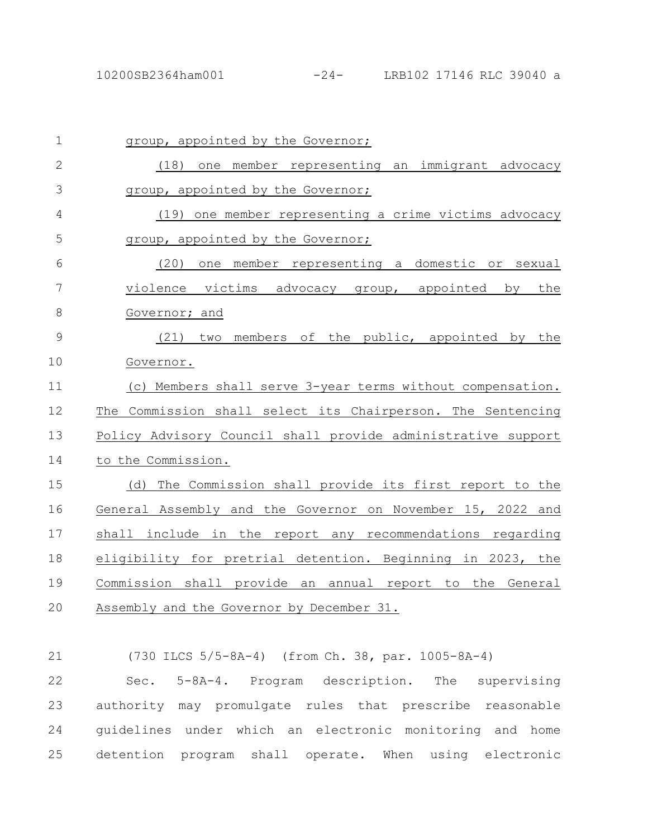| $\mathbf 1$  | group, appointed by the Governor;                            |
|--------------|--------------------------------------------------------------|
| $\mathbf{2}$ | (18) one member representing an immigrant advocacy           |
| 3            | group, appointed by the Governor;                            |
| 4            | (19) one member representing a crime victims advocacy        |
| 5            | group, appointed by the Governor;                            |
| 6            | (20)<br>one member representing a domestic or sexual         |
| 7            | violence victims advocacy group, appointed by<br>the         |
| $\,8\,$      | Governor; and                                                |
| 9            | two members of the public, appointed by the<br>(21)          |
| 10           | Governor.                                                    |
| 11           | (c) Members shall serve 3-year terms without compensation.   |
| 12           | The Commission shall select its Chairperson. The Sentencing  |
| 13           | Policy Advisory Council shall provide administrative support |
| 14           | to the Commission.                                           |
| 15           | The Commission shall provide its first report to the<br>(d)  |
| 16           | General Assembly and the Governor on November 15, 2022 and   |
| 17           | shall include in the report any recommendations regarding    |
| 18           | eligibility for pretrial detention. Beginning in 2023, the   |
| 19           | Commission shall provide an annual report to the General     |
| 20           | Assembly and the Governor by December 31.                    |
|              |                                                              |
| 21           | (730 ILCS 5/5-8A-4) (from Ch. 38, par. 1005-8A-4)            |
| 22           | Sec. 5-8A-4. Program description.<br>The<br>supervising      |
| 23           | authority may promulgate rules that prescribe reasonable     |

24 guidelines under which an electronic monitoring and home detention program shall operate. When using electronic 25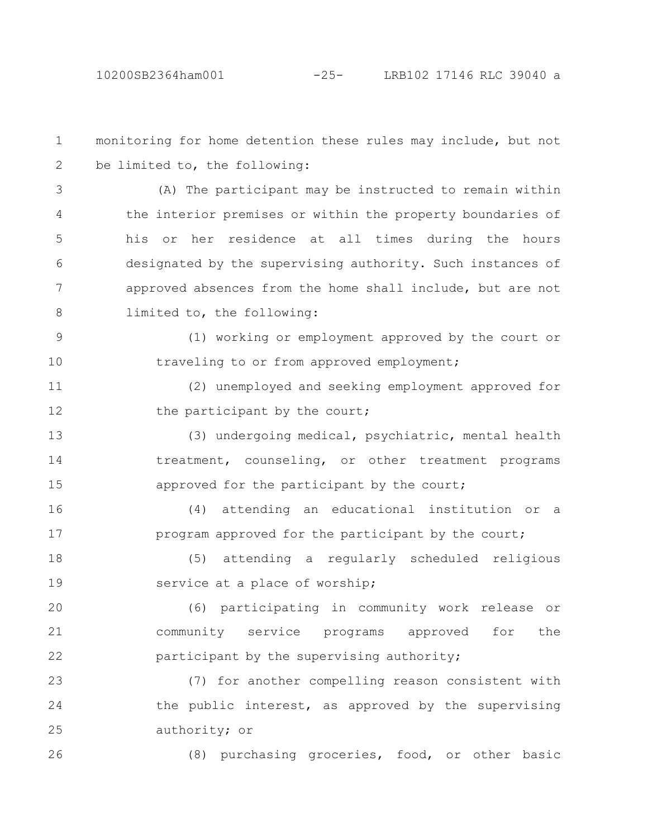monitoring for home detention these rules may include, but not be limited to, the following: (A) The participant may be instructed to remain within the interior premises or within the property boundaries of his or her residence at all times during the hours designated by the supervising authority. Such instances of approved absences from the home shall include, but are not limited to, the following: (1) working or employment approved by the court or traveling to or from approved employment; (2) unemployed and seeking employment approved for the participant by the court; (3) undergoing medical, psychiatric, mental health treatment, counseling, or other treatment programs approved for the participant by the court; (4) attending an educational institution or a program approved for the participant by the court; (5) attending a regularly scheduled religious service at a place of worship; (6) participating in community work release or community service programs approved for the participant by the supervising authority; (7) for another compelling reason consistent with the public interest, as approved by the supervising authority; or (8) purchasing groceries, food, or other basic 1 2 3 4 5 6 7 8 9 10 11 12 13 14 15 16 17 18 19 20 21 22 23 24 25 26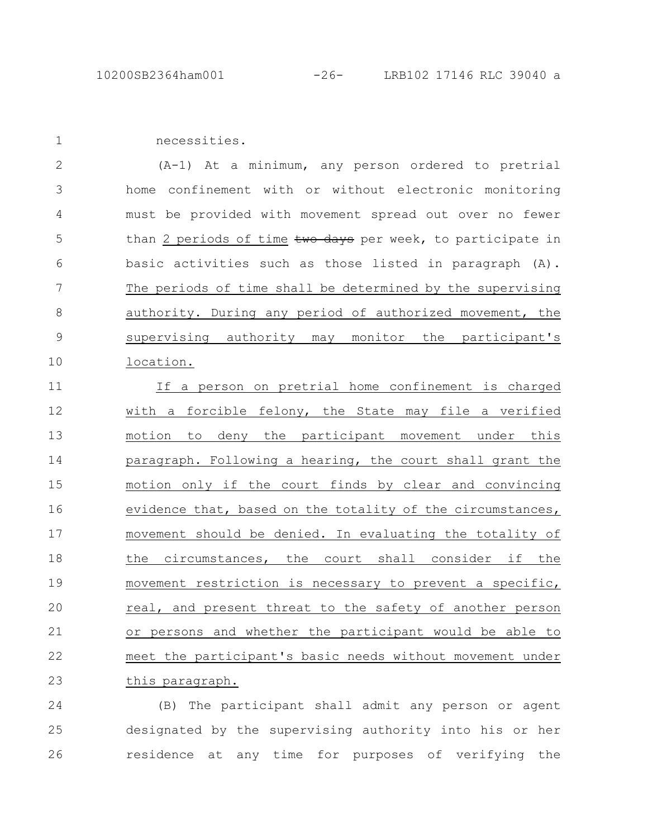1

necessities.

(A-1) At a minimum, any person ordered to pretrial home confinement with or without electronic monitoring must be provided with movement spread out over no fewer than 2 periods of time two days per week, to participate in basic activities such as those listed in paragraph (A). The periods of time shall be determined by the supervising authority. During any period of authorized movement, the supervising authority may monitor the participant's location. 2 3 4 5 6 7 8 9 10

If a person on pretrial home confinement is charged with a forcible felony, the State may file a verified motion to deny the participant movement under this paragraph. Following a hearing, the court shall grant the motion only if the court finds by clear and convincing evidence that, based on the totality of the circumstances, movement should be denied. In evaluating the totality of the circumstances, the court shall consider if the movement restriction is necessary to prevent a specific, real, and present threat to the safety of another person or persons and whether the participant would be able to meet the participant's basic needs without movement under this paragraph. 11 12 13 14 15 16 17 18 19 20 21 22 23

(B) The participant shall admit any person or agent designated by the supervising authority into his or her residence at any time for purposes of verifying the 24 25 26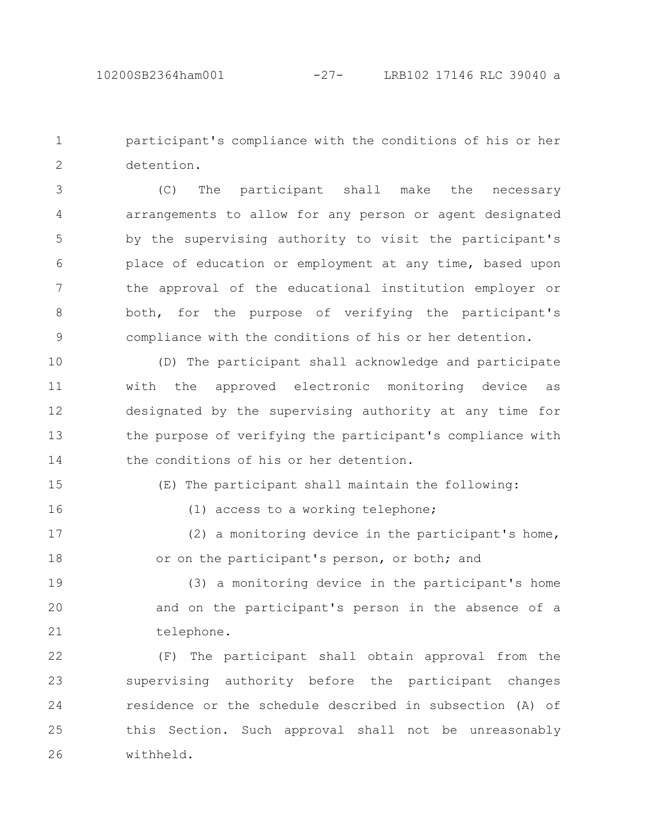participant's compliance with the conditions of his or her detention. 1 2

(C) The participant shall make the necessary arrangements to allow for any person or agent designated by the supervising authority to visit the participant's place of education or employment at any time, based upon the approval of the educational institution employer or both, for the purpose of verifying the participant's compliance with the conditions of his or her detention. 3 4 5 6 7 8 9

(D) The participant shall acknowledge and participate with the approved electronic monitoring device as designated by the supervising authority at any time for the purpose of verifying the participant's compliance with the conditions of his or her detention. 10 11 12 13 14

15 16 (E) The participant shall maintain the following:

(1) access to a working telephone;

(2) a monitoring device in the participant's home, or on the participant's person, or both; and 17 18

(3) a monitoring device in the participant's home and on the participant's person in the absence of a telephone. 19 20 21

(F) The participant shall obtain approval from the supervising authority before the participant changes residence or the schedule described in subsection (A) of this Section. Such approval shall not be unreasonably withheld. 22 23 24 25 26